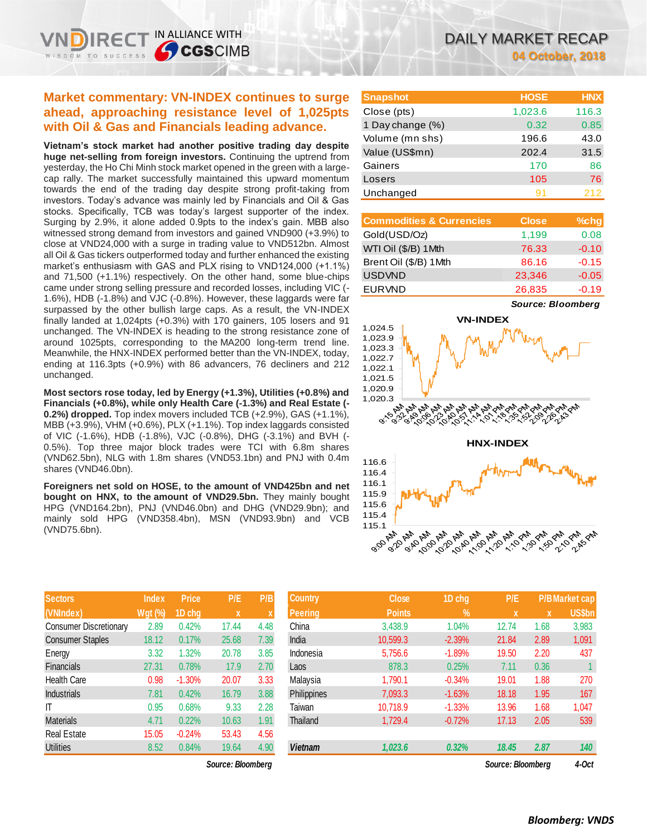IN ALLIANCE WITH

**S**CGSCIMB

**Vietnam's stock market had another positive trading day despite huge net-selling from foreign investors.** Continuing the uptrend from yesterday, the Ho Chi Minh stock market opened in the green with a largecap rally. The market successfully maintained this upward momentum towards the end of the trading day despite strong profit-taking from investors. Today's advance was mainly led by Financials and Oil & Gas stocks. Specifically, TCB was today's largest supporter of the index. Surging by 2.9%, it alone added 0.9pts to the index's gain. MBB also witnessed strong demand from investors and gained VND900 (+3.9%) to close at VND24,000 with a surge in trading value to VND512bn. Almost all Oil & Gas tickers outperformed today and further enhanced the existing market's enthusiasm with GAS and PLX rising to VND124,000 (+1.1%) and 71,500 (+1.1%) respectively. On the other hand, some blue-chips came under strong selling pressure and recorded losses, including VIC (- 1.6%), HDB (-1.8%) and VJC (-0.8%). However, these laggards were far surpassed by the other bullish large caps. As a result, the VN-INDEX finally landed at 1,024pts (+0.3%) with 170 gainers, 105 losers and 91 unchanged. The VN-INDEX is heading to the strong resistance zone of around 1025pts, corresponding to the MA200 long-term trend line. Meanwhile, the HNX-INDEX performed better than the VN-INDEX, today, ending at 116.3pts (+0.9%) with 86 advancers, 76 decliners and 212 unchanged.

**Most sectors rose today, led by Energy (+1.3%), Utilities (+0.8%) and Financials (+0.8%), while only Health Care (-1.3%) and Real Estate (- 0.2%) dropped.** Top index movers included TCB (+2.9%), GAS (+1.1%), MBB (+3.9%), VHM (+0.6%), PLX (+1.1%). Top index laggards consisted of VIC (-1.6%), HDB (-1.8%), VJC (-0.8%), DHG (-3.1%) and BVH (- 0.5%). Top three major block trades were TCI with 6.8m shares (VND62.5bn), NLG with 1.8m shares (VND53.1bn) and PNJ with 0.4m shares (VND46.0bn).

**Foreigners net sold on HOSE, to the amount of VND425bn and net bought on HNX, to the amount of VND29.5bn.** They mainly bought HPG (VND164.2bn), PNJ (VND46.0bn) and DHG (VND29.9bn); and mainly sold HPG (VND358.4bn), MSN (VND93.9bn) and VCB (VND75.6bn).

| <b>Sectors</b>                | <b>Index</b>   | <b>Price</b> | P/E   | P/B  |
|-------------------------------|----------------|--------------|-------|------|
| (VNIndex)                     | <b>Wgt (%)</b> | 1D chg       | X     | X    |
| <b>Consumer Discretionary</b> | 2.89           | 0.42%        | 17.44 | 4.48 |
| <b>Consumer Staples</b>       | 18.12          | 0.17%        | 25.68 | 7.39 |
| Energy                        | 3.32           | 1.32%        | 20.78 | 3.85 |
| <b>Financials</b>             | 27.31          | 0.78%        | 17.9  | 2.70 |
| <b>Health Care</b>            | 0.98           | $-1.30%$     | 20.07 | 3.33 |
| <b>Industrials</b>            | 7.81           | 0.42%        | 16.79 | 3.88 |
| IT                            | 0.95           | 0.68%        | 9.33  | 2.28 |
| <b>Materials</b>              | 4.71           | 0.22%        | 10.63 | 1.91 |
| <b>Real Estate</b>            | 15.05          | $-0.24%$     | 53.43 | 4.56 |
| <b>Utilities</b>              | 8.52           | 0.84%        | 19.64 | 4.90 |

 $Source: Bloomberg$ 

| <b>Snapshot</b>  | <b>HOSE</b> | <b>HNX</b> |
|------------------|-------------|------------|
| Close (pts)      | 1,023.6     | 116.3      |
| 1 Day change (%) | 0.32        | 0.85       |
| Volume (mn shs)  | 196.6       | 43.0       |
| Value (US\$mn)   | 202.4       | 31.5       |
| Gainers          | 170         | 86         |
| Losers           | 105         | 76         |
| Unchanged        | 91          | 212        |

| <b>Commodities &amp; Currencies</b> | <b>Close</b> | $%$ chg |
|-------------------------------------|--------------|---------|
| Gold(USD/Oz)                        | 1,199        | 0.08    |
| WTI Oil (\$/B) 1Mth                 | 76.33        | $-0.10$ |
| Brent Oil (\$/B) 1Mth               | 86.16        | $-0.15$ |
| <b>USDVND</b>                       | 23,346       | $-0.05$ |
| <b>EURVND</b>                       | 26,835       | $-0.19$ |

*Source: Bloomberg*



| <b>Sectors</b>                | Index          | <b>Price</b> | P/E               | P/B  | <b>Country</b> | <b>Close</b>  | 1D chg    | P/E               |             | <b>P/BMarket cap</b> |
|-------------------------------|----------------|--------------|-------------------|------|----------------|---------------|-----------|-------------------|-------------|----------------------|
| (VNIndex)                     | <b>Wgt (%)</b> | 1D chg       | X.                | X    | <b>Peering</b> | <b>Points</b> | <b>V.</b> | $\mathbf{x}$      | $\mathbf x$ | <b>US\$bn</b>        |
| <b>Consumer Discretionary</b> | 2.89           | 0.42%        | 17.44             | 4.48 | China          | 3,438.9       | 1.04%     | 12.74             | 1.68        | 3,983                |
| Consumer Staples              | 18.12          | 0.17%        | 25.68             | 7.39 | India          | 10,599.3      | $-2.39%$  | 21.84             | 2.89        | 1,091                |
| Energy                        | 3.32           | .32%         | 20.78             | 3.85 | Indonesia      | 5,756.6       | $-1.89%$  | 19.50             | 2.20        | 437                  |
| <b>Financials</b>             | 27.31          | 0.78%        | 17.9              | 2.70 | Laos           | 878.3         | 0.25%     | 7.11              | 0.36        |                      |
| <b>Health Care</b>            | 0.98           | $-1.30%$     | 20.07             | 3.33 | Malaysia       | 1,790.1       | $-0.34%$  | 19.01             | 1.88        | 270                  |
| <b>Industrials</b>            | 7.81           | 0.42%        | 16.79             | 3.88 | Philippines    | 7,093.3       | $-1.63%$  | 18.18             | 1.95        | 167                  |
| ΙT                            | 0.95           | 0.68%        | 9.33              | 2.28 | Taiwan         | 10,718.9      | $-1.33%$  | 13.96             | 1.68        | 1,047                |
| <b>Materials</b>              | 4.71           | 0.22%        | 10.63             | 1.91 | Thailand       | 1,729.4       | $-0.72%$  | 17.13             | 2.05        | 539                  |
| Real Estate                   | 15.05          | $-0.24%$     | 53.43             | 4.56 |                |               |           |                   |             |                      |
| <b>Utilities</b>              | 8.52           | 0.84%        | 19.64             | 4.90 | <b>Vietnam</b> | 1,023.6       | 0.32%     | 18.45             | 2.87        | 140                  |
|                               |                |              | Source: Bloombera |      |                |               |           | Source: Bloombera |             | 4-Oct                |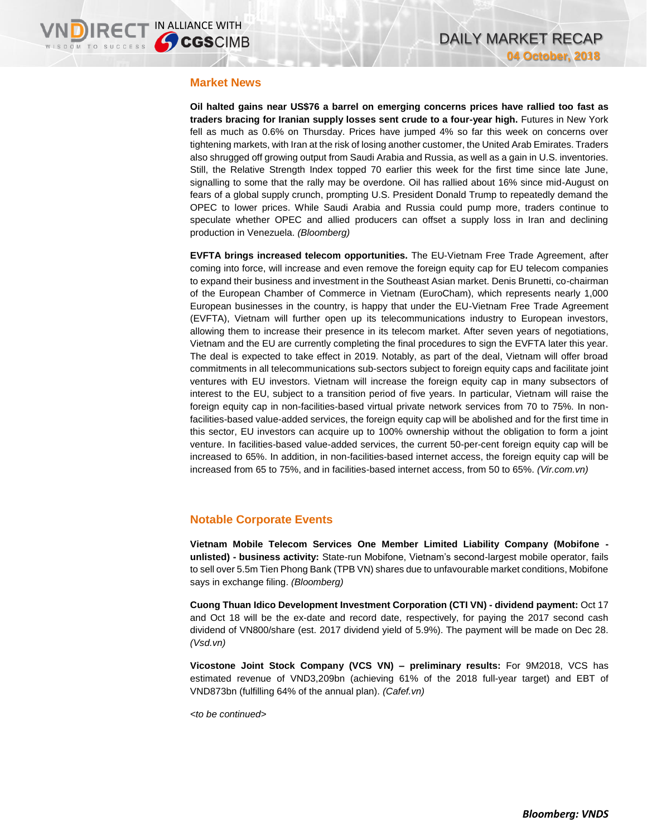### **Market News**

**Oil halted gains near US\$76 a barrel on emerging concerns prices have rallied too fast as traders bracing for Iranian supply losses sent crude to a four-year high.** Futures in New York fell as much as 0.6% on Thursday. Prices have jumped 4% so far this week on concerns over tightening markets, with Iran at the risk of losing another customer, the United Arab Emirates. Traders also shrugged off growing output from Saudi Arabia and Russia, as well as a gain in U.S. inventories. Still, the Relative Strength Index topped 70 earlier this week for the first time since late June, signalling to some that the rally may be overdone. Oil has rallied about 16% since mid-August on fears of a global supply crunch, prompting U.S. President Donald Trump to repeatedly demand the OPEC to lower prices. While Saudi Arabia and Russia could pump more, traders continue to speculate whether OPEC and allied producers can offset a supply loss in Iran and declining production in Venezuela. *(Bloomberg)*

**EVFTA brings increased telecom opportunities.** The EU-Vietnam Free Trade Agreement, after coming into force, will increase and even remove the foreign equity cap for EU telecom companies to expand their business and investment in the Southeast Asian market. Denis Brunetti, co-chairman of the European Chamber of Commerce in Vietnam (EuroCham), which represents nearly 1,000 European businesses in the country, is happy that under the EU-Vietnam Free Trade Agreement (EVFTA), Vietnam will further open up its telecommunications industry to European investors, allowing them to increase their presence in its telecom market. After seven years of negotiations, Vietnam and the EU are currently completing the final procedures to sign the EVFTA later this year. The deal is expected to take effect in 2019. Notably, as part of the deal, Vietnam will offer broad commitments in all telecommunications sub-sectors subject to foreign equity caps and facilitate joint ventures with EU investors. Vietnam will increase the foreign equity cap in many subsectors of interest to the EU, subject to a transition period of five years. In particular, Vietnam will raise the foreign equity cap in non-facilities-based virtual private network services from 70 to 75%. In nonfacilities-based value-added services, the foreign equity cap will be abolished and for the first time in this sector, EU investors can acquire up to 100% ownership without the obligation to form a joint venture. In facilities-based value-added services, the current 50-per-cent foreign equity cap will be increased to 65%. In addition, in non-facilities-based internet access, the foreign equity cap will be increased from 65 to 75%, and in facilities-based internet access, from 50 to 65%. *(Vir.com.vn)*

### **Notable Corporate Events**

**Vietnam Mobile Telecom Services One Member Limited Liability Company (Mobifone unlisted) - business activity:** State-run Mobifone, Vietnam's second-largest mobile operator, fails to sell over 5.5m Tien Phong Bank (TPB VN) shares due to unfavourable market conditions, Mobifone says in exchange filing. *(Bloomberg)*

**Cuong Thuan Idico Development Investment Corporation (CTI VN) - dividend payment:** Oct 17 and Oct 18 will be the ex-date and record date, respectively, for paying the 2017 second cash dividend of VN800/share (est. 2017 dividend yield of 5.9%). The payment will be made on Dec 28. *(Vsd.vn)*

**Vicostone Joint Stock Company (VCS VN) – preliminary results:** For 9M2018, VCS has estimated revenue of VND3,209bn (achieving 61% of the 2018 full-year target) and EBT of VND873bn (fulfilling 64% of the annual plan). *(Cafef.vn)*

*<to be continued>*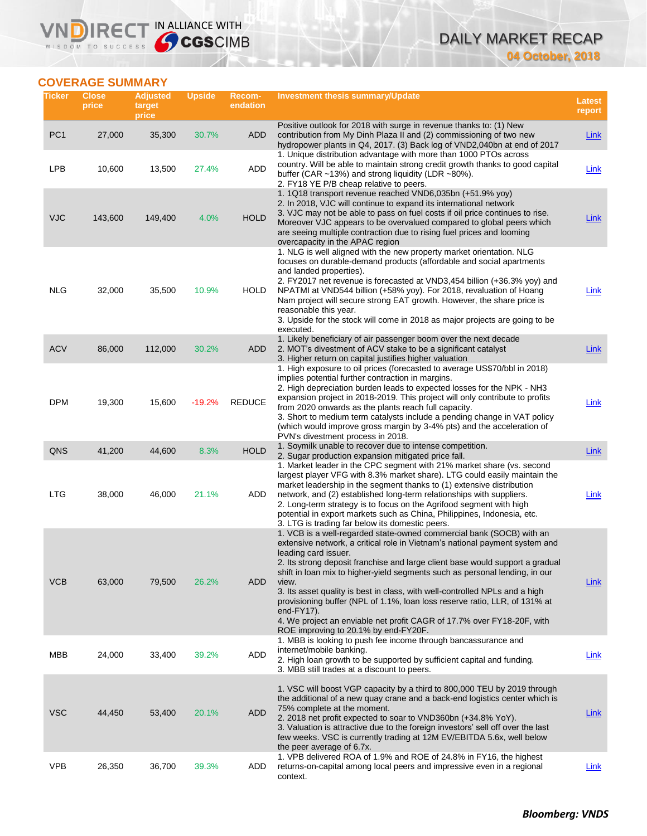# DAILY MARKET RECAP **04 October, 2018**

# **COVERAGE SUMMARY**

WISDOM TO SUCCESS

**VNDIRECT IN ALLIANCE WITH** 

| Ticker          | <b>Close</b><br>price | <b>Adjusted</b><br>target<br>price | <b>Upside</b> | Recom-<br>endation | Investment thesis summary/Update                                                                                                                                                                                                                                                                                                                                                                                                                                                                                                                                                                                                                      | <b>Latest</b><br>report |
|-----------------|-----------------------|------------------------------------|---------------|--------------------|-------------------------------------------------------------------------------------------------------------------------------------------------------------------------------------------------------------------------------------------------------------------------------------------------------------------------------------------------------------------------------------------------------------------------------------------------------------------------------------------------------------------------------------------------------------------------------------------------------------------------------------------------------|-------------------------|
| PC <sub>1</sub> | 27,000                | 35,300                             | 30.7%         | ADD                | Positive outlook for 2018 with surge in revenue thanks to: (1) New<br>contribution from My Dinh Plaza II and (2) commissioning of two new<br>hydropower plants in Q4, 2017. (3) Back log of VND2,040bn at end of 2017                                                                                                                                                                                                                                                                                                                                                                                                                                 | <b>Link</b>             |
| <b>LPB</b>      | 10,600                | 13,500                             | 27.4%         | ADD                | 1. Unique distribution advantage with more than 1000 PTOs across<br>country. Will be able to maintain strong credit growth thanks to good capital<br>buffer (CAR $\sim$ 13%) and strong liquidity (LDR $\sim$ 80%).<br>2. FY18 YE P/B cheap relative to peers.                                                                                                                                                                                                                                                                                                                                                                                        | Link                    |
| <b>VJC</b>      | 143,600               | 149,400                            | 4.0%          | <b>HOLD</b>        | 1. 1Q18 transport revenue reached VND6,035bn (+51.9% yoy)<br>2. In 2018, VJC will continue to expand its international network<br>3. VJC may not be able to pass on fuel costs if oil price continues to rise.<br>Moreover VJC appears to be overvalued compared to global peers which<br>are seeing multiple contraction due to rising fuel prices and looming<br>overcapacity in the APAC region                                                                                                                                                                                                                                                    | Link                    |
| <b>NLG</b>      | 32,000                | 35,500                             | 10.9%         | HOLD               | 1. NLG is well aligned with the new property market orientation. NLG<br>focuses on durable-demand products (affordable and social apartments<br>and landed properties).<br>2. FY2017 net revenue is forecasted at VND3,454 billion (+36.3% yoy) and<br>NPATMI at VND544 billion (+58% yoy). For 2018, revaluation of Hoang<br>Nam project will secure strong EAT growth. However, the share price is<br>reasonable this year.<br>3. Upside for the stock will come in 2018 as major projects are going to be<br>executed.                                                                                                                             | Link                    |
| <b>ACV</b>      | 86,000                | 112,000                            | 30.2%         | ADD                | 1. Likely beneficiary of air passenger boom over the next decade<br>2. MOT's divestment of ACV stake to be a significant catalyst<br>3. Higher return on capital justifies higher valuation                                                                                                                                                                                                                                                                                                                                                                                                                                                           | <b>Link</b>             |
| <b>DPM</b>      | 19,300                | 15,600                             | $-19.2%$      | <b>REDUCE</b>      | 1. High exposure to oil prices (forecasted to average US\$70/bbl in 2018)<br>implies potential further contraction in margins.<br>2. High depreciation burden leads to expected losses for the NPK - NH3<br>expansion project in 2018-2019. This project will only contribute to profits<br>from 2020 onwards as the plants reach full capacity.<br>3. Short to medium term catalysts include a pending change in VAT policy<br>(which would improve gross margin by 3-4% pts) and the acceleration of<br>PVN's divestment process in 2018.                                                                                                           | Link                    |
| QNS             | 41,200                | 44,600                             | 8.3%          | <b>HOLD</b>        | 1. Soymilk unable to recover due to intense competition.<br>2. Sugar production expansion mitigated price fall.                                                                                                                                                                                                                                                                                                                                                                                                                                                                                                                                       | <b>Link</b>             |
| <b>LTG</b>      | 38,000                | 46,000                             | 21.1%         | <b>ADD</b>         | 1. Market leader in the CPC segment with 21% market share (vs. second<br>largest player VFG with 8.3% market share). LTG could easily maintain the<br>market leadership in the segment thanks to (1) extensive distribution<br>network, and (2) established long-term relationships with suppliers.<br>2. Long-term strategy is to focus on the Agrifood segment with high<br>potential in export markets such as China, Philippines, Indonesia, etc.<br>3. LTG is trading far below its domestic peers.                                                                                                                                              | Link                    |
| <b>VCB</b>      | 63,000                | 79,500                             | 26.2%         | <b>ADD</b>         | 1. VCB is a well-regarded state-owned commercial bank (SOCB) with an<br>extensive network, a critical role in Vietnam's national payment system and<br>leading card issuer.<br>2. Its strong deposit franchise and large client base would support a gradual<br>shift in loan mix to higher-yield segments such as personal lending, in our<br>view.<br>3. Its asset quality is best in class, with well-controlled NPLs and a high<br>provisioning buffer (NPL of 1.1%, loan loss reserve ratio, LLR, of 131% at<br>end- $FY17$ ).<br>4. We project an enviable net profit CAGR of 17.7% over FY18-20F, with<br>ROE improving to 20.1% by end-FY20F. | Link                    |
| MBB             | 24,000                | 33,400                             | 39.2%         | <b>ADD</b>         | 1. MBB is looking to push fee income through bancassurance and<br>internet/mobile banking.<br>2. High loan growth to be supported by sufficient capital and funding.<br>3. MBB still trades at a discount to peers.                                                                                                                                                                                                                                                                                                                                                                                                                                   | Link                    |
| <b>VSC</b>      | 44,450                | 53,400                             | 20.1%         | <b>ADD</b>         | 1. VSC will boost VGP capacity by a third to 800,000 TEU by 2019 through<br>the additional of a new quay crane and a back-end logistics center which is<br>75% complete at the moment.<br>2. 2018 net profit expected to soar to VND360bn (+34.8% YoY).<br>3. Valuation is attractive due to the foreign investors' sell off over the last<br>few weeks. VSC is currently trading at 12M EV/EBITDA 5.6x, well below<br>the peer average of 6.7x.                                                                                                                                                                                                      | <b>Link</b>             |
| <b>VPB</b>      | 26,350                | 36,700                             | 39.3%         | ADD                | 1. VPB delivered ROA of 1.9% and ROE of 24.8% in FY16, the highest<br>returns-on-capital among local peers and impressive even in a regional<br>context.                                                                                                                                                                                                                                                                                                                                                                                                                                                                                              | <b>Link</b>             |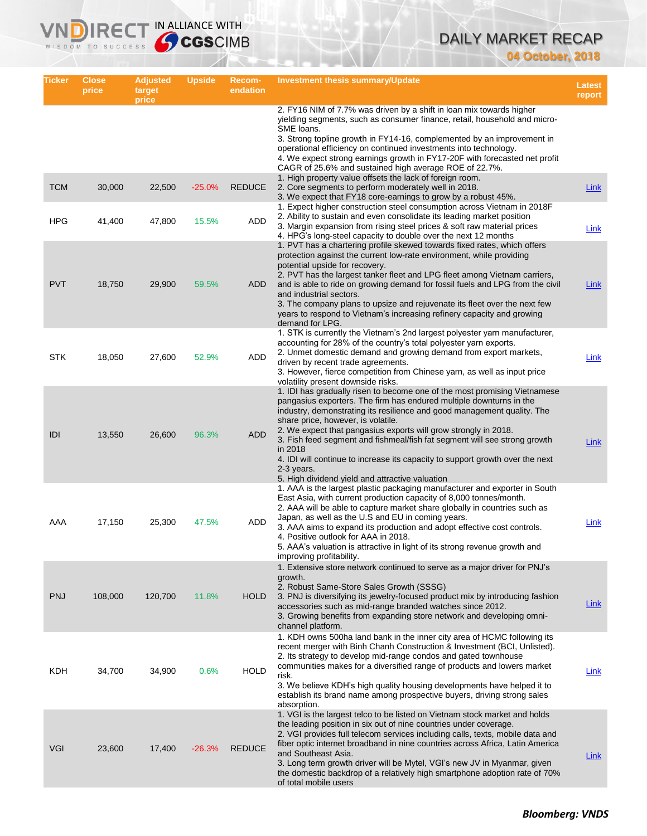# DAILY MARKET RECAP **04 October, 2018**

| Ticker     | <b>Close</b><br>price | <b>Adjusted</b><br>target<br>price | <b>Upside</b> | Recom-<br>endation | <b>Investment thesis summary/Update</b>                                                                                                                                                                                                                                                                                                                                                                                                                                                                                                                                        | Latest<br>report |
|------------|-----------------------|------------------------------------|---------------|--------------------|--------------------------------------------------------------------------------------------------------------------------------------------------------------------------------------------------------------------------------------------------------------------------------------------------------------------------------------------------------------------------------------------------------------------------------------------------------------------------------------------------------------------------------------------------------------------------------|------------------|
|            |                       |                                    |               |                    | 2. FY16 NIM of 7.7% was driven by a shift in loan mix towards higher<br>yielding segments, such as consumer finance, retail, household and micro-<br>SME loans.<br>3. Strong topline growth in FY14-16, complemented by an improvement in<br>operational efficiency on continued investments into technology.<br>4. We expect strong earnings growth in FY17-20F with forecasted net profit                                                                                                                                                                                    |                  |
| <b>TCM</b> | 30,000                | 22,500                             | $-25.0%$      | <b>REDUCE</b>      | CAGR of 25.6% and sustained high average ROE of 22.7%.<br>1. High property value offsets the lack of foreign room.<br>2. Core segments to perform moderately well in 2018.<br>3. We expect that FY18 core-earnings to grow by a robust 45%.                                                                                                                                                                                                                                                                                                                                    | Link             |
| <b>HPG</b> | 41,400                | 47,800                             | 15.5%         | ADD                | 1. Expect higher construction steel consumption across Vietnam in 2018F<br>2. Ability to sustain and even consolidate its leading market position<br>3. Margin expansion from rising steel prices & soft raw material prices<br>4. HPG's long-steel capacity to double over the next 12 months                                                                                                                                                                                                                                                                                 | Link             |
| <b>PVT</b> | 18,750                | 29,900                             | 59.5%         | <b>ADD</b>         | 1. PVT has a chartering profile skewed towards fixed rates, which offers<br>protection against the current low-rate environment, while providing<br>potential upside for recovery.<br>2. PVT has the largest tanker fleet and LPG fleet among Vietnam carriers,<br>and is able to ride on growing demand for fossil fuels and LPG from the civil<br>and industrial sectors.<br>3. The company plans to upsize and rejuvenate its fleet over the next few<br>years to respond to Vietnam's increasing refinery capacity and growing<br>demand for LPG.                          | <b>Link</b>      |
| STK        | 18,050                | 27,600                             | 52.9%         | ADD                | 1. STK is currently the Vietnam's 2nd largest polyester yarn manufacturer,<br>accounting for 28% of the country's total polyester yarn exports.<br>2. Unmet domestic demand and growing demand from export markets,<br>driven by recent trade agreements.<br>3. However, fierce competition from Chinese yarn, as well as input price<br>volatility present downside risks.                                                                                                                                                                                                    | Link             |
| IDI        | 13,550                | 26,600                             | 96.3%         | <b>ADD</b>         | 1. IDI has gradually risen to become one of the most promising Vietnamese<br>pangasius exporters. The firm has endured multiple downturns in the<br>industry, demonstrating its resilience and good management quality. The<br>share price, however, is volatile.<br>2. We expect that pangasius exports will grow strongly in 2018.<br>3. Fish feed segment and fishmeal/fish fat segment will see strong growth<br>in 2018<br>4. IDI will continue to increase its capacity to support growth over the next<br>2-3 years.<br>5. High dividend yield and attractive valuation | <b>Link</b>      |
| AAA        | 17,150                | 25,300                             | 47.5%         | ADD                | 1. AAA is the largest plastic packaging manufacturer and exporter in South<br>East Asia, with current production capacity of 8,000 tonnes/month.<br>2. AAA will be able to capture market share globally in countries such as<br>Japan, as well as the U.S and EU in coming years.<br>3. AAA aims to expand its production and adopt effective cost controls.<br>4. Positive outlook for AAA in 2018.<br>5. AAA's valuation is attractive in light of its strong revenue growth and<br>improving profitability.                                                                | Link             |
| <b>PNJ</b> | 108,000               | 120,700                            | 11.8%         | <b>HOLD</b>        | 1. Extensive store network continued to serve as a major driver for PNJ's<br>growth.<br>2. Robust Same-Store Sales Growth (SSSG)<br>3. PNJ is diversifying its jewelry-focused product mix by introducing fashion<br>accessories such as mid-range branded watches since 2012.<br>3. Growing benefits from expanding store network and developing omni-<br>channel platform.                                                                                                                                                                                                   | Link             |
| KDH        | 34,700                | 34,900                             | 0.6%          | <b>HOLD</b>        | 1. KDH owns 500ha land bank in the inner city area of HCMC following its<br>recent merger with Binh Chanh Construction & Investment (BCI, Unlisted).<br>2. Its strategy to develop mid-range condos and gated townhouse<br>communities makes for a diversified range of products and lowers market<br>risk.<br>3. We believe KDH's high quality housing developments have helped it to<br>establish its brand name among prospective buyers, driving strong sales<br>absorption.                                                                                               | Link             |
| VGI        | 23,600                | 17,400                             | $-26.3%$      | <b>REDUCE</b>      | 1. VGI is the largest telco to be listed on Vietnam stock market and holds<br>the leading position in six out of nine countries under coverage.<br>2. VGI provides full telecom services including calls, texts, mobile data and<br>fiber optic internet broadband in nine countries across Africa, Latin America<br>and Southeast Asia.<br>3. Long term growth driver will be Mytel, VGI's new JV in Myanmar, given<br>the domestic backdrop of a relatively high smartphone adoption rate of 70%<br>of total mobile users                                                    | Link             |

**VNDIRECT IN ALLIANCE WITH** 

WISDOM TO SUCCESS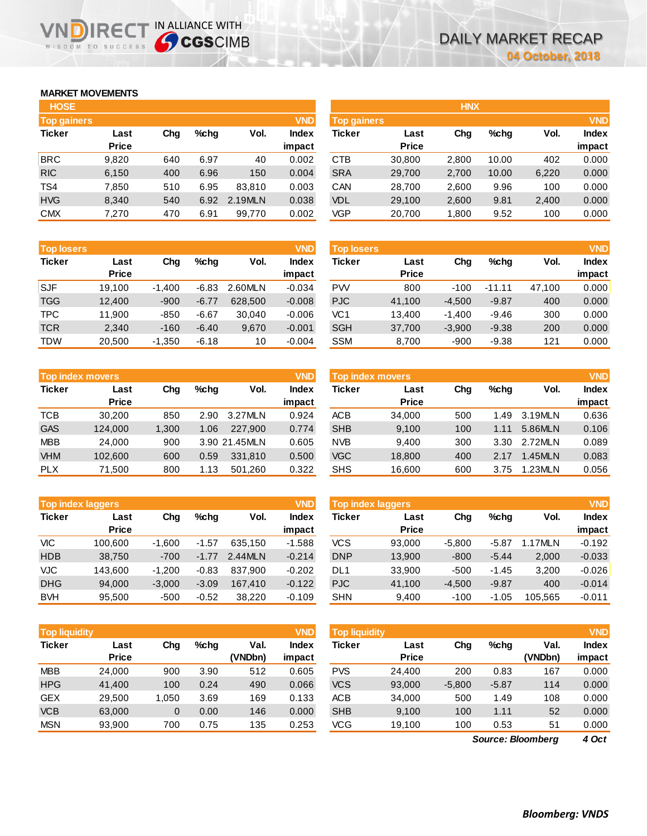## **MARKET MOVEMENTS**

WISDOM TO SUCCESS

| <b>HOSE</b>        |              |     |      |         |              |
|--------------------|--------------|-----|------|---------|--------------|
| <b>Top gainers</b> |              |     |      |         | <b>VND</b>   |
| <b>Ticker</b>      | Last         | Cha | %chq | Vol.    | <b>Index</b> |
|                    | <b>Price</b> |     |      |         | impact       |
| <b>BRC</b>         | 9,820        | 640 | 6.97 | 40      | 0.002        |
| <b>RIC</b>         | 6,150        | 400 | 6.96 | 150     | 0.004        |
| TS4                | 7,850        | 510 | 6.95 | 83.810  | 0.003        |
| <b>HVG</b>         | 8,340        | 540 | 6.92 | 2.19MLN | 0.038        |
| <b>CMX</b>         | 7,270        | 470 | 6.91 | 99,770  | 0.002        |

**VNDIRECT IN ALLIANCE WITH** 

| <b>Top losers</b> |              |          |         |         | <b>VND</b>   |
|-------------------|--------------|----------|---------|---------|--------------|
| <b>Ticker</b>     | Last         | Cha      | %cha    | Vol.    | <b>Index</b> |
|                   | <b>Price</b> |          |         |         | impact       |
| <b>SJF</b>        | 19,100       | $-1,400$ | $-6.83$ | 2.60MLN | $-0.034$     |
| <b>TGG</b>        | 12,400       | $-900$   | $-6.77$ | 628,500 | $-0.008$     |
| <b>TPC</b>        | 11,900       | -850     | $-6.67$ | 30,040  | $-0.006$     |
| <b>TCR</b>        | 2.340        | $-160$   | $-6.40$ | 9,670   | $-0.001$     |
| TDW               | 20.500       | $-1,350$ | $-6.18$ | 10      | $-0.004$     |

|               | <b>Top index movers</b> |       |         |               | <b>VND</b>   |
|---------------|-------------------------|-------|---------|---------------|--------------|
| <b>Ticker</b> | Last                    | Cha   | $%$ chq | Vol.          | <b>Index</b> |
|               | <b>Price</b>            |       |         |               | impact       |
| <b>TCB</b>    | 30,200                  | 850   | 2.90    | 3.27MLN       | 0.924        |
| <b>GAS</b>    | 124,000                 | 1,300 | 1.06    | 227.900       | 0.774        |
| <b>MBB</b>    | 24,000                  | 900   |         | 3.90 21.45MLN | 0.605        |
| <b>VHM</b>    | 102,600                 | 600   | 0.59    | 331,810       | 0.500        |
| <b>PLX</b>    | 71,500                  | 800   | 1.13    | 501,260       | 0.322        |

| <b>Top index laggers</b> |              |          |         |         |              |  |  |  |
|--------------------------|--------------|----------|---------|---------|--------------|--|--|--|
| <b>Ticker</b>            | Last         | Cha      | %chq    | Vol.    | <b>Index</b> |  |  |  |
|                          | <b>Price</b> |          |         |         | impact       |  |  |  |
| VIС                      | 100,600      | $-1,600$ | $-1.57$ | 635.150 | $-1.588$     |  |  |  |
| <b>HDB</b>               | 38,750       | $-700$   | $-1.77$ | 2.44MLN | $-0.214$     |  |  |  |
| <b>VJC</b>               | 143,600      | $-1,200$ | $-0.83$ | 837,900 | $-0.202$     |  |  |  |
| <b>DHG</b>               | 94,000       | $-3,000$ | $-3.09$ | 167,410 | $-0.122$     |  |  |  |
| <b>BVH</b>               | 95,500       | $-500$   | $-0.52$ | 38,220  | $-0.109$     |  |  |  |

| <b>Top liquidity</b> |              |       |         |         | <b>VND</b>   |
|----------------------|--------------|-------|---------|---------|--------------|
| <b>Ticker</b>        | Last         | Cha   | $%$ chq | Val.    | <b>Index</b> |
|                      | <b>Price</b> |       |         | (VNDbn) | impact       |
| <b>MBB</b>           | 24,000       | 900   | 3.90    | 512     | 0.605        |
| <b>HPG</b>           | 41.400       | 100   | 0.24    | 490     | 0.066        |
| <b>GEX</b>           | 29,500       | 1,050 | 3.69    | 169     | 0.133        |
| <b>VCB</b>           | 63,000       | 0     | 0.00    | 146     | 0.000        |
| <b>MSN</b>           | 93.900       | 700   | 0.75    | 135     | 0.253        |

| <b>HOSE</b>        |              |     |         |         |              |                    |              | <b>HNX</b> |       |       |              |
|--------------------|--------------|-----|---------|---------|--------------|--------------------|--------------|------------|-------|-------|--------------|
| <b>Top gainers</b> |              |     |         |         | <b>VND</b>   | <b>Top gainers</b> |              |            |       |       | <b>VND</b>   |
| <b>Ticker</b>      | Last         | Chg | $%$ chq | Vol.    | <b>Index</b> | Ticker             | Last         | Chg        | %chq  | Vol.  | <b>Index</b> |
|                    | <b>Price</b> |     |         |         | impact       |                    | <b>Price</b> |            |       |       | impact       |
| BRC                | 9,820        | 640 | 6.97    | 40      | 0.002        | <b>CTB</b>         | 30,800       | 2,800      | 10.00 | 402   | 0.000        |
| <b>RIC</b>         | 6,150        | 400 | 6.96    | 150     | 0.004        | <b>SRA</b>         | 29,700       | 2,700      | 10.00 | 6,220 | 0.000        |
| TS4                | 7,850        | 510 | 6.95    | 83.810  | 0.003        | CAN                | 28,700       | 2,600      | 9.96  | 100   | 0.000        |
| <b>HVG</b>         | 8,340        | 540 | 6.92    | 2.19MLN | 0.038        | <b>VDL</b>         | 29,100       | 2,600      | 9.81  | 2,400 | 0.000        |
| <b>CMX</b>         | 7,270        | 470 | 6.91    | 99,770  | 0.002        | VGP                | 20,700       | 1,800      | 9.52  | 100   | 0.000        |
|                    |              |     |         |         |              |                    |              |            |       |       |              |

| <b>Top losers</b> |              |          |         |         | <b>VND</b>   | <b>Top losers</b> |              |          |          |        | <b>VND</b>   |
|-------------------|--------------|----------|---------|---------|--------------|-------------------|--------------|----------|----------|--------|--------------|
| <b>Ticker</b>     | Last         | Chg      | $%$ chq | Vol.    | <b>Index</b> | Ticker            | Last         | Chg      | %chq     | Vol.   | <b>Index</b> |
|                   | <b>Price</b> |          |         |         | impact       |                   | <b>Price</b> |          |          |        | impact       |
| <b>SJF</b>        | 19.100       | $-1.400$ | $-6.83$ | 2.60MLN | $-0.034$     | <b>PW</b>         | 800          | $-100$   | $-11.11$ | 47.100 | 0.000        |
| <b>TGG</b>        | 12,400       | $-900$   | $-6.77$ | 628,500 | $-0.008$     | <b>PJC</b>        | 41,100       | $-4,500$ | $-9.87$  | 400    | 0.000        |
| <b>TPC</b>        | 11.900       | $-850$   | $-6.67$ | 30.040  | $-0.006$     | VC1               | 13.400       | $-1.400$ | $-9.46$  | 300    | 0.000        |
| TCR               | 2,340        | $-160$   | $-6.40$ | 9,670   | $-0.001$     | <b>SGH</b>        | 37,700       | $-3,900$ | $-9.38$  | 200    | 0.000        |
| TDW               | 20,500       | $-1,350$ | $-6.18$ | 10      | $-0.004$     | <b>SSM</b>        | 8,700        | $-900$   | $-9.38$  | 121    | 0.000        |
|                   |              |          |         |         |              |                   |              |          |          |        |              |

|            | <b>VND</b><br><b>Top index movers</b> |       |         |               |                        |            | <b>Top index movers</b> |     |      |         | <b>VND</b>             |
|------------|---------------------------------------|-------|---------|---------------|------------------------|------------|-------------------------|-----|------|---------|------------------------|
| Ticker     | Last<br><b>Price</b>                  | Chg   | $%$ chq | Vol.          | <b>Index</b><br>impact | Ticker     | Last<br><b>Price</b>    | Chg | %chq | Vol.    | <b>Index</b><br>impact |
| TCB        | 30.200                                | 850   | 2.90    | 3.27MLN       | 0.924                  | <b>ACB</b> | 34,000                  | 500 | 1.49 | 3.19MLN | 0.636                  |
| <b>GAS</b> | 124,000                               | 1.300 | 1.06    | 227,900       | 0.774                  | <b>SHB</b> | 9,100                   | 100 | 1.11 | 5.86MLN | 0.106                  |
| <b>MBB</b> | 24.000                                | 900   |         | 3.90 21.45MLN | 0.605                  | <b>NVB</b> | 9.400                   | 300 | 3.30 | 2.72MLN | 0.089                  |
| <b>VHM</b> | 102,600                               | 600   | 0.59    | 331.810       | 0.500                  | <b>VGC</b> | 18,800                  | 400 | 2.17 | 1.45MLN | 0.083                  |
| <b>PLX</b> | 71.500                                | 800   | 1.13    | 501.260       | 0.322                  | <b>SHS</b> | 16,600                  | 600 | 3.75 | 1.23MLN | 0.056                  |

|            | <b>VND</b><br><b>Top index laggers</b> |          |         |         |          |            | <b>Top index laggers</b> |          |         |         | <b>VND</b> |
|------------|----------------------------------------|----------|---------|---------|----------|------------|--------------------------|----------|---------|---------|------------|
| Ticker     | Last                                   | Chg      | $%$ chq | Vol.    | Index    | Ticker     | Last                     | Chg      | %chq    | Vol.    | Index      |
|            | <b>Price</b>                           |          |         |         | impact   |            | <b>Price</b>             |          |         |         | impact     |
| VIC        | 100.600                                | $-1.600$ | $-1.57$ | 635.150 | $-1.588$ | <b>VCS</b> | 93.000                   | $-5.800$ | $-5.87$ | .17MLN  | $-0.192$   |
| <b>HDB</b> | 38.750                                 | $-700$   | $-1.77$ | 2.44MLN | $-0.214$ | <b>DNP</b> | 13,900                   | $-800$   | $-5.44$ | 2,000   | $-0.033$   |
| VJC        | 143.600                                | $-1.200$ | $-0.83$ | 837.900 | $-0.202$ | DL1        | 33,900                   | -500     | $-1.45$ | 3.200   | $-0.026$   |
| <b>DHG</b> | 94,000                                 | $-3.000$ | $-3.09$ | 167.410 | $-0.122$ | <b>PJC</b> | 41.100                   | $-4.500$ | $-9.87$ | 400     | $-0.014$   |
| <b>BVH</b> | 95.500                                 | $-500$   | $-0.52$ | 38,220  | $-0.109$ | <b>SHN</b> | 9,400                    | $-100$   | $-1.05$ | 105.565 | $-0.011$   |

| <b>Top liquidity</b> |              |              |         |         | <b>VND</b> | <b>Top liquidity</b> |              |          |         |                   | <b>VND</b>   |
|----------------------|--------------|--------------|---------|---------|------------|----------------------|--------------|----------|---------|-------------------|--------------|
| Ticker               | Last         | Chg          | $%$ chq | Val.    | Index      | Ticker               | Last         | Chg      | %chq    | Val.              | <b>Index</b> |
|                      | <b>Price</b> |              |         | (VNDbn) | impact     |                      | <b>Price</b> |          |         | (VNDbn)           | impact       |
| <b>MBB</b>           | 24.000       | 900          | 3.90    | 512     | 0.605      | <b>PVS</b>           | 24.400       | 200      | 0.83    | 167               | 0.000        |
| <b>HPG</b>           | 41.400       | 100          | 0.24    | 490     | 0.066      | <b>VCS</b>           | 93,000       | $-5,800$ | $-5.87$ | 114               | 0.000        |
| <b>GEX</b>           | 29.500       | 1,050        | 3.69    | 169     | 0.133      | <b>ACB</b>           | 34,000       | 500      | 1.49    | 108               | 0.000        |
| <b>VCB</b>           | 63,000       | $\mathbf{0}$ | 0.00    | 146     | 0.000      | <b>SHB</b>           | 9,100        | 100      | 1.11    | 52                | 0.000        |
| <b>MSN</b>           | 93,900       | 700          | 0.75    | 135     | 0.253      | VCG                  | 19,100       | 100      | 0.53    | 51                | 0.000        |
|                      |              |              |         |         |            |                      |              |          |         | Source: Bloomberg | $4$ Oct      |

*4 Oct Source: Bloomberg*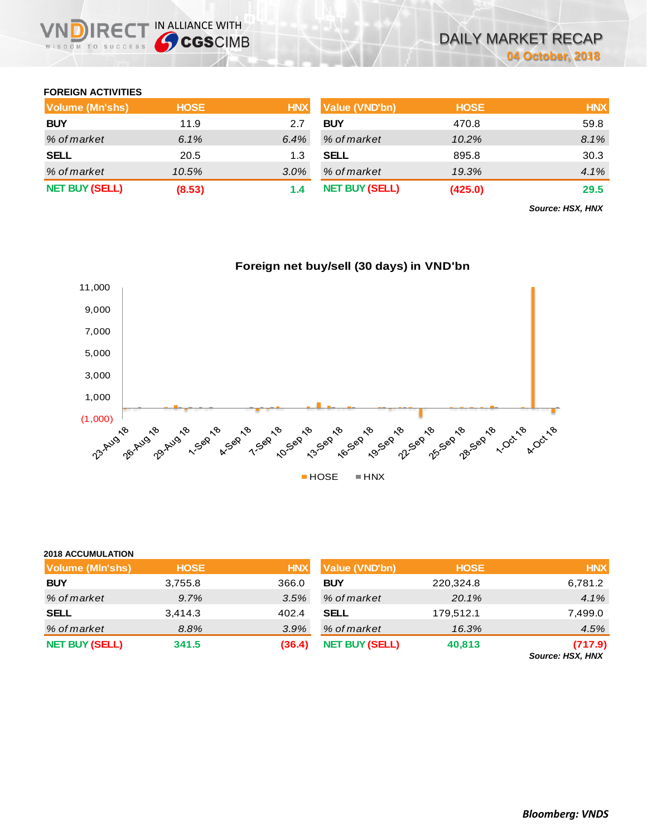### **FOREIGN ACTIVITIES**

WISDOM TO SUCCESS

RE<sub>(</sub>

**2018 ACCUMULATION**

IN ALLIANCE WITH

| Volume (Mn'shs)       | <b>HOSE</b> | <b>HNX</b> | Value (VND'bn)        | <b>HOSE</b> | <b>HNX</b> |
|-----------------------|-------------|------------|-----------------------|-------------|------------|
| <b>BUY</b>            | 11.9        | 2.7        | <b>BUY</b>            | 470.8       | 59.8       |
| % of market           | 6.1%        | 6.4%       | % of market           | 10.2%       | 8.1%       |
| <b>SELL</b>           | 20.5        | 1.3        | SELL                  | 895.8       | 30.3       |
| % of market           | 10.5%       | $3.0\%$    | % of market           | 19.3%       | 4.1%       |
| <b>NET BUY (SELL)</b> | (8.53)      | 1.4        | <b>NET BUY (SELL)</b> | (425.0)     | 29.5       |

*Source: HSX, HNX*



| <b>2018 ACCUMULATION</b> |             |            |                       |             |            |
|--------------------------|-------------|------------|-----------------------|-------------|------------|
| <b>Volume (MIn'shs)</b>  | <b>HOSE</b> | <b>HNX</b> | <b>Value (VND'bn)</b> | <b>HOSE</b> | <b>HNX</b> |
| <b>BUY</b>               | 3,755.8     | 366.0      | <b>BUY</b>            | 220,324.8   | 6,781.2    |
| % of market              | 9.7%        | 3.5%       | % of market           | 20.1%       | 4.1%       |
| <b>SELL</b>              | 3,414.3     | 402.4      | <b>SELL</b>           | 179,512.1   | 7,499.0    |
| % of market              | 8.8%        | 3.9%       | % of market           | 16.3%       | 4.5%       |
| <b>NET BUY (SELL)</b>    | 341.5       | (36.4)     | <b>NET BUY (SELL)</b> | 40,813      | (717.9)    |

*Source: HSX, HNX*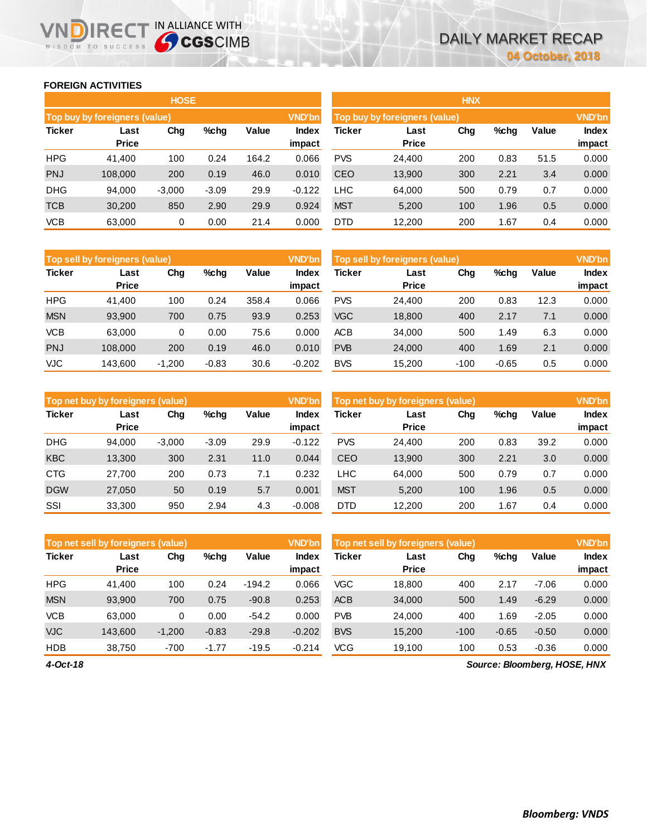### **FOREIGN ACTIVITIES**

WISDOM TO SUCCESS

n

|               |                               | <b>HOSE</b> |         |       |                        | <b>HNX</b> |                               |     |      |       |                 |
|---------------|-------------------------------|-------------|---------|-------|------------------------|------------|-------------------------------|-----|------|-------|-----------------|
|               | Top buy by foreigners (value) |             |         |       | <b>VND'bn</b>          |            | Top buy by foreigners (value) |     |      |       | <b>VND'bn</b>   |
| <b>Ticker</b> | Last<br><b>Price</b>          | Chg         | %chg    | Value | <b>Index</b><br>impact | Ticker     | Last<br><b>Price</b>          | Chg | %chg | Value | Index<br>impact |
| <b>HPG</b>    | 41,400                        | 100         | 0.24    | 164.2 | 0.066                  | <b>PVS</b> | 24,400                        | 200 | 0.83 | 51.5  | 0.000           |
| <b>PNJ</b>    | 108,000                       | 200         | 0.19    | 46.0  | 0.010                  | <b>CEO</b> | 13,900                        | 300 | 2.21 | 3.4   | 0.000           |
| <b>DHG</b>    | 94,000                        | $-3,000$    | $-3.09$ | 29.9  | $-0.122$               | ∟HC        | 64,000                        | 500 | 0.79 | 0.7   | 0.000           |
| <b>TCB</b>    | 30,200                        | 850         | 2.90    | 29.9  | 0.924                  | <b>MST</b> | 5.200                         | 100 | 1.96 | 0.5   | 0.000           |
| <b>VCB</b>    | 63,000                        | 0           | 0.00    | 21.4  | 0.000                  | <b>DTD</b> | 12,200                        | 200 | 1.67 | 0.4   | 0.000           |

**IRECT IN ALLIANCE WITH** 

|               | <b>HNX</b>                    |     |      |       |               |  |  |  |  |  |  |  |  |
|---------------|-------------------------------|-----|------|-------|---------------|--|--|--|--|--|--|--|--|
|               | Top buy by foreigners (value) |     |      |       | <b>VND'bn</b> |  |  |  |  |  |  |  |  |
| <b>Ticker</b> | Last                          | Cha | %chq | Value | <b>Index</b>  |  |  |  |  |  |  |  |  |
|               | <b>Price</b>                  |     |      |       | impact        |  |  |  |  |  |  |  |  |
| <b>PVS</b>    | 24,400                        | 200 | 0.83 | 51.5  | 0.000         |  |  |  |  |  |  |  |  |
| CEO           | 13,900                        | 300 | 2.21 | 3.4   | 0.000         |  |  |  |  |  |  |  |  |
| <b>LHC</b>    | 64,000                        | 500 | 0.79 | 0.7   | 0.000         |  |  |  |  |  |  |  |  |
| <b>MST</b>    | 5,200                         | 100 | 1.96 | 0.5   | 0.000         |  |  |  |  |  |  |  |  |
| DTD.          | 12,200                        | 200 | 1.67 | 0.4   | 0.000         |  |  |  |  |  |  |  |  |

|               | Top sell by foreigners (value) |          |         |       | <b>VND'bn</b>   | Top sell by foreigners (value) |                      |        |         |       |                 |
|---------------|--------------------------------|----------|---------|-------|-----------------|--------------------------------|----------------------|--------|---------|-------|-----------------|
| <b>Ticker</b> | Last<br>Price                  | Chg      | %chg    | Value | Index<br>impact | Ticker                         | Last<br><b>Price</b> | Chg    | %chg    | Value | Index<br>impact |
| <b>HPG</b>    | 41.400                         | 100      | 0.24    | 358.4 | 0.066           | <b>PVS</b>                     | 24.400               | 200    | 0.83    | 12.3  | 0.000           |
| <b>MSN</b>    | 93.900                         | 700      | 0.75    | 93.9  | 0.253           | <b>VGC</b>                     | 18,800               | 400    | 2.17    | 7.1   | 0.000           |
| <b>VCB</b>    | 63,000                         | 0        | 0.00    | 75.6  | 0.000           | <b>ACB</b>                     | 34.000               | 500    | 1.49    | 6.3   | 0.000           |
| <b>PNJ</b>    | 108,000                        | 200      | 0.19    | 46.0  | 0.010           | <b>PVB</b>                     | 24,000               | 400    | 1.69    | 2.1   | 0.000           |
| VJC           | 143.600                        | $-1.200$ | $-0.83$ | 30.6  | $-0.202$        | <b>BVS</b>                     | 15.200               | $-100$ | $-0.65$ | 0.5   | 0.000           |

| <b>VND'bn</b><br>Top sell by foreigners (value) |                      |      |         |       |                        |  |  |  |  |  |  |
|-------------------------------------------------|----------------------|------|---------|-------|------------------------|--|--|--|--|--|--|
| Ticker                                          | Last<br><b>Price</b> | Cha  | %chq    | Value | <b>Index</b><br>impact |  |  |  |  |  |  |
| PVS                                             | 24,400               | 200  | 0.83    | 12.3  | 0.000                  |  |  |  |  |  |  |
| VGC                                             | 18,800               | 400  | 2.17    | 7.1   | 0.000                  |  |  |  |  |  |  |
| ACB                                             | 34,000               | 500  | 1.49    | 6.3   | 0.000                  |  |  |  |  |  |  |
| <b>PVB</b>                                      | 24,000               | 400  | 1.69    | 2.1   | 0.000                  |  |  |  |  |  |  |
| BVS                                             | 15,200               | -100 | $-0.65$ | 0.5   | 0.000                  |  |  |  |  |  |  |

|               | <b>Top net buy by foreigners (value)</b> |          |         |       | <b>VND'bn</b>          |            | Top net buy by foreigners (value) |     | <b>VND'bn</b> |       |                 |
|---------------|------------------------------------------|----------|---------|-------|------------------------|------------|-----------------------------------|-----|---------------|-------|-----------------|
| <b>Ticker</b> | Last<br><b>Price</b>                     | Chg      | $%$ chg | Value | <b>Index</b><br>impact | Ticker     | Last<br><b>Price</b>              | Chg | %chg          | Value | Index<br>impact |
| <b>DHG</b>    | 94.000                                   | $-3.000$ | $-3.09$ | 29.9  | $-0.122$               | <b>PVS</b> | 24.400                            | 200 | 0.83          | 39.2  | 0.000           |
| <b>KBC</b>    | 13.300                                   | 300      | 2.31    | 11.0  | 0.044                  | <b>CEO</b> | 13,900                            | 300 | 2.21          | 3.0   | 0.000           |
| <b>CTG</b>    | 27,700                                   | 200      | 0.73    | 7.1   | 0.232                  | LHC        | 64,000                            | 500 | 0.79          | 0.7   | 0.000           |
| <b>DGW</b>    | 27,050                                   | 50       | 0.19    | 5.7   | 0.001                  | <b>MST</b> | 5,200                             | 100 | 1.96          | 0.5   | 0.000           |
| SSI           | 33.300                                   | 950      | 2.94    | 4.3   | $-0.008$               | <b>DTD</b> | 12.200                            | 200 | 1.67          | 0.4   | 0.000           |

|               | <b>VND'bn</b><br>Top net sell by foreigners (value) |          |         |          |                 |            | Top net sell by foreigners (value) |        |         |              |                 |
|---------------|-----------------------------------------------------|----------|---------|----------|-----------------|------------|------------------------------------|--------|---------|--------------|-----------------|
| <b>Ticker</b> | Last<br><b>Price</b>                                | Chg      | %chg    | Value    | Index<br>impact | Ticker     | Last<br><b>Price</b>               | Chg    | %chg    | <b>Value</b> | Index<br>impact |
| <b>HPG</b>    | 41.400                                              | 100      | 0.24    | $-194.2$ | 0.066           | <b>VGC</b> | 18,800                             | 400    | 2.17    | $-7.06$      | 0.000           |
| <b>MSN</b>    | 93.900                                              | 700      | 0.75    | $-90.8$  | 0.253           | <b>ACB</b> | 34,000                             | 500    | 1.49    | $-6.29$      | 0.000           |
| <b>VCB</b>    | 63,000                                              | 0        | 0.00    | $-54.2$  | 0.000           | <b>PVB</b> | 24.000                             | 400    | .69،    | $-2.05$      | 0.000           |
| <b>VJC</b>    | 143.600                                             | $-1,200$ | $-0.83$ | $-29.8$  | $-0.202$        | <b>BVS</b> | 15,200                             | $-100$ | $-0.65$ | $-0.50$      | 0.000           |
| <b>HDB</b>    | 38,750                                              | $-700$   | $-1.77$ | $-19.5$  | $-0.214$        | VCG        | 19,100                             | 100    | 0.53    | $-0.36$      | 0.000           |

*Source: Bloomberg, HOSE, HNX*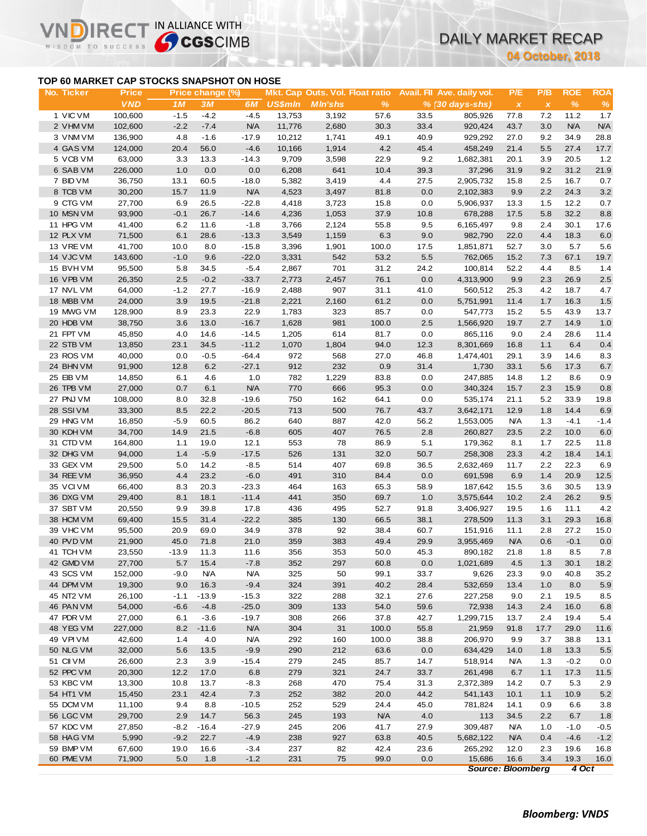# **TOP 60 MARKET CAP STOCKS SNAPSHOT ON HOSE**

NDIRECT IN ALLIANCE WITH

Vľ

**04 October, 2018**

|                        |                            |               |                                           |                   |                |                                                   |              |              |                                               | 04 October, 2018                  |                     |                    |                    |
|------------------------|----------------------------|---------------|-------------------------------------------|-------------------|----------------|---------------------------------------------------|--------------|--------------|-----------------------------------------------|-----------------------------------|---------------------|--------------------|--------------------|
|                        |                            |               | TOP 60 MARKET CAP STOCKS SNAPSHOT ON HOSE |                   |                |                                                   |              |              |                                               |                                   |                     |                    |                    |
| No. Ticker             | <b>Price</b><br><b>VND</b> | 1M            | Price change (%)<br>3M                    | 6M                | <b>US\$mln</b> | Mkt. Cap Outs. Vol. Float ratio<br><b>MIn'shs</b> | $\%$         |              | Avail. Fil Ave. daily vol.<br>% (30 days-shs) | P/E                               | P/B<br>$\pmb{\chi}$ | <b>ROE</b><br>$\%$ | <b>ROA</b><br>$\%$ |
| 1 VIC VM               | 100,600                    | $-1.5$        | $-4.2$                                    | $-4.5$            | 13,753         | 3,192                                             | 57.6         | 33.5         | 805,926                                       | $\boldsymbol{\mathsf{x}}$<br>77.8 | 7.2                 | 11.2               | 1.7                |
| 2 VHM VM               | 102,600                    | $-2.2$        | $-7.4$                                    | <b>N/A</b>        | 11,776         | 2,680                                             | 30.3         | 33.4         | 920,424                                       | 43.7                              | 3.0                 | N/A                | <b>N/A</b>         |
| 3 VNM VM               | 136,900                    | 4.8           | $-1.6$                                    | $-17.9$           | 10,212         | 1,741                                             | 49.1         | 40.9         | 929,292                                       | 27.0                              | 9.2                 | 34.9               | 28.8               |
| 4 GAS VM               | 124,000                    | 20.4          | 56.0                                      | $-4.6$            | 10,166         | 1,914                                             | 4.2          | 45.4         | 458,249                                       | 21.4                              | 5.5                 | 27.4               | 17.7               |
| 5 VCB VM               | 63,000                     | 3.3           | 13.3                                      | $-14.3$           | 9,709          | 3,598                                             | 22.9         | 9.2          | 1,682,381                                     | 20.1                              | 3.9                 | 20.5               | 1.2                |
| 6 SAB VM               | 226,000                    | 1.0           | 0.0                                       | 0.0               | 6,208          | 641                                               | 10.4         | 39.3         | 37,296                                        | 31.9                              | 9.2                 | 31.2               | 21.9               |
| 7 BID VM               | 36,750                     | 13.1          | 60.5                                      | $-18.0$           | 5,382          | 3,419                                             | 4.4          | 27.5         | 2,905,732                                     | 15.8                              | 2.5                 | 16.7               | 0.7                |
| 8 TCB VM               | 30,200                     | 15.7          | 11.9                                      | <b>N/A</b>        | 4,523          | 3,497                                             | 81.8         | 0.0          | 2,102,383                                     | 9.9                               | 2.2                 | 24.3               | 3.2                |
| 9 CTG VM               | 27,700                     | 6.9           | 26.5                                      | $-22.8$           | 4,418          | 3,723                                             | 15.8         | 0.0          | 5,906,937                                     | 13.3                              | 1.5                 | 12.2               | 0.7                |
| 10 MSN VM              | 93,900                     | $-0.1$        | 26.7                                      | $-14.6$           | 4,236          | 1,053                                             | 37.9         | 10.8         | 678,288                                       | 17.5                              | 5.8                 | 32.2               | 8.8                |
| 11 HPG VM              | 41,400                     | 6.2           | 11.6                                      | $-1.8$            | 3,766          | 2,124                                             | 55.8         | 9.5          | 6,165,497                                     | 9.8                               | 2.4                 | 30.1               | 17.6               |
| 12 PLX VM              | 71,500                     | 6.1           | 28.6                                      | $-13.3$           | 3,549          | 1,159                                             | 6.3          | 9.0          | 982,790                                       | 22.0                              | 4.4                 | 18.3               | 6.0                |
| 13 VRE VM              | 41,700                     | 10.0          | 8.0                                       | $-15.8$           | 3,396          | 1,901                                             | 100.0        | 17.5         | 1,851,871                                     | 52.7                              | 3.0                 | 5.7<br>67.1        | 5.6                |
| 14 VJC VM<br>15 BVHVM  | 143,600<br>95,500          | $-1.0$<br>5.8 | 9.6<br>34.5                               | $-22.0$<br>$-5.4$ | 3,331<br>2,867 | 542<br>701                                        | 53.2<br>31.2 | 5.5<br>24.2  | 762,065<br>100,814                            | 15.2<br>52.2                      | 7.3<br>4.4          | 8.5                | 19.7<br>1.4        |
| 16 VPB VM              | 26,350                     | 2.5           | $-0.2$                                    | $-33.7$           | 2,773          | 2,457                                             | 76.1         | 0.0          | 4,313,900                                     | 9.9                               | 2.3                 | 26.9               | 2.5                |
| 17 NVL VM              | 64,000                     | $-1.2$        | 27.7                                      | $-16.9$           | 2,488          | 907                                               | 31.1         | 41.0         | 560,512                                       | 25.3                              | 4.2                 | 18.7               | 4.7                |
| 18 MBB VM              | 24,000                     | 3.9           | 19.5                                      | $-21.8$           | 2,221          | 2,160                                             | 61.2         | 0.0          | 5,751,991                                     | 11.4                              | 1.7                 | 16.3               | 1.5                |
| 19 MWG VM              | 128,900                    | 8.9           | 23.3                                      | 22.9              | 1,783          | 323                                               | 85.7         | 0.0          | 547,773                                       | 15.2                              | 5.5                 | 43.9               | 13.7               |
| 20 HDB VM              | 38,750                     | 3.6           | 13.0                                      | $-16.7$           | 1,628          | 981                                               | 100.0        | 2.5          | 1,566,920                                     | 19.7                              | 2.7                 | 14.9               | 1.0                |
| 21 FPT VM              | 45,850                     | 4.0           | 14.6                                      | $-14.5$           | 1,205          | 614                                               | 81.7         | 0.0          | 865,116                                       | 9.0                               | 2.4                 | 28.6               | 11.4               |
| 22 STB VM              | 13,850                     | 23.1          | 34.5                                      | $-11.2$           | 1,070          | 1,804                                             | 94.0         | 12.3         | 8,301,669                                     | 16.8                              | 1.1                 | 6.4                | 0.4                |
| 23 ROS VM              | 40,000                     | 0.0           | $-0.5$                                    | $-64.4$           | 972            | 568                                               | 27.0         | 46.8         | 1,474,401                                     | 29.1                              | 3.9                 | 14.6               | 8.3                |
| 24 BHN VM              | 91,900                     | 12.8          | 6.2                                       | $-27.1$           | 912            | 232                                               | 0.9          | 31.4         | 1,730                                         | 33.1                              | 5.6                 | 17.3               | 6.7                |
| 25 EIB VM              | 14,850                     | 6.1           | 4.6                                       | 1.0               | 782            | 1,229                                             | 83.8         | 0.0          | 247,885                                       | 14.8                              | 1.2                 | 8.6                | 0.9                |
| 26 TPB VM              | 27,000                     | 0.7           | 6.1                                       | <b>N/A</b>        | 770            | 666                                               | 95.3         | 0.0          | 340,324                                       | 15.7                              | 2.3                 | 15.9               | 0.8                |
| 27 PNJ VM              | 108,000                    | 8.0           | 32.8                                      | $-19.6$           | 750            | 162                                               | 64.1         | 0.0          | 535,174                                       | 21.1                              | 5.2                 | 33.9               | 19.8               |
| 28 SSIVM               | 33,300                     | 8.5           | 22.2                                      | $-20.5$           | 713            | 500                                               | 76.7         | 43.7         | 3,642,171                                     | 12.9                              | 1.8                 | 14.4               | 6.9                |
| 29 HNG VM              | 16,850                     | $-5.9$        | 60.5                                      | 86.2              | 640            | 887                                               | 42.0         | 56.2         | 1,553,005                                     | <b>N/A</b>                        | 1.3                 | $-4.1$             | $-1.4$             |
| 30 KDH VM              | 34,700                     | 14.9          | 21.5                                      | $-6.8$            | 605            | 407                                               | 76.5         | 2.8          | 260,827                                       | 23.5                              | 2.2                 | 10.0               | 6.0                |
| 31 CTD VM              | 164,800                    | 1.1           | 19.0                                      | 12.1              | 553            | 78                                                | 86.9         | 5.1          | 179,362                                       | 8.1                               | 1.7                 | 22.5               | 11.8               |
| 32 DHG VM              | 94,000                     | 1.4           | $-5.9$                                    | $-17.5$           | 526            | 131                                               | 32.0         | 50.7         | 258,308                                       | 23.3                              | 4.2                 | 18.4               | 14.1               |
| 33 GEX VM              | 29,500                     | 5.0<br>4.4    | 14.2                                      | $-8.5$            | 514            | 407                                               | 69.8         | 36.5         | 2,632,469                                     | 11.7<br>6.9                       | 2.2<br>1.4          | 22.3<br>20.9       | 6.9                |
| 34 REE VM<br>35 VCIVM  | 36,950<br>66,400           | 8.3           | 23.2<br>20.3                              | $-6.0$<br>$-23.3$ | 491<br>464     | 310<br>163                                        | 84.4<br>65.3 | 0.0<br>58.9  | 691,598<br>187,642                            | 15.5                              | 3.6                 | 30.5               | 12.5<br>13.9       |
| 36 DXG VM              | 29,400                     | 8.1           | 18.1                                      | $-11.4$           | 441            | 350                                               | 69.7         | 1.0          | 3,575,644                                     | 10.2                              | 2.4                 | 26.2               | 9.5                |
| 37 SBT VM              | 20,550                     | 9.9           | 39.8                                      | 17.8              | 436            | 495                                               | 52.7         | 91.8         | 3,406,927                                     | 19.5                              | 1.6                 | 11.1               | 4.2                |
| 38 HCM VM              | 69,400                     | 15.5          | 31.4                                      | $-22.2$           | 385            | 130                                               | 66.5         | 38.1         | 278,509                                       | 11.3                              | 3.1                 | 29.3               | 16.8               |
| 39 VHC VM              | 95,500                     | 20.9          | 69.0                                      | 34.9              | 378            | 92                                                | 38.4         | 60.7         | 151,916                                       | 11.1                              | 2.8                 | 27.2               | 15.0               |
| 40 PVD VM              | 21,900                     | 45.0          | 71.8                                      | 21.0              | 359            | 383                                               | 49.4         | 29.9         | 3,955,469                                     | <b>N/A</b>                        | 0.6                 | $-0.1$             | $0.0\,$            |
| 41 TCH VM              | 23,550                     | $-13.9$       | 11.3                                      | 11.6              | 356            | 353                                               | 50.0         | 45.3         | 890,182                                       | 21.8                              | 1.8                 | 8.5                | 7.8                |
| 42 GMD VM              | 27,700                     | 5.7           | 15.4                                      | $-7.8$            | 352            | 297                                               | 60.8         | 0.0          | 1,021,689                                     | 4.5                               | 1.3                 | 30.1               | 18.2               |
| 43 SCS VM              | 152,000                    | $-9.0$        | <b>N/A</b>                                | <b>N/A</b>        | 325            | 50                                                | 99.1         | 33.7         | 9,626                                         | 23.3                              | 9.0                 | 40.8               | 35.2               |
| 44 DPM VM              | 19,300                     | 9.0           | 16.3                                      | $-9.4$            | 324            | 391                                               | 40.2         | 28.4         | 532,659                                       | 13.4                              | 1.0                 | 8.0                | 5.9                |
| 45 NT2 VM              | 26,100                     | $-1.1$        | $-13.9$                                   | $-15.3$           | 322            | 288                                               | 32.1         | 27.6         | 227,258                                       | 9.0                               | 2.1                 | 19.5               | 8.5                |
| 46 PAN VM              | 54,000                     | $-6.6$        | $-4.8$                                    | $-25.0$           | 309            | 133                                               | 54.0         | 59.6         | 72,938                                        | 14.3                              | 2.4                 | 16.0               | 6.8                |
| 47 PDR VM              | 27,000                     | 6.1           | $-3.6$                                    | $-19.7$           | 308            | 266                                               | 37.8         | 42.7         | 1,299,715                                     | 13.7                              | 2.4                 | 19.4               | 5.4                |
| 48 YEG VM              | 227,000                    | 8.2           | $-11.6$                                   | <b>N/A</b>        | 304            | 31                                                | 100.0        | 55.8         | 21,959                                        | 91.8                              | 17.7                | 29.0               | 11.6               |
| 49 VPI VM              | 42,600                     | 1.4           | 4.0                                       | <b>N/A</b>        | 292            | 160                                               | 100.0        | 38.8         | 206,970                                       | 9.9                               | 3.7                 | 38.8               | 13.1               |
| 50 NLG VM              | 32,000                     | 5.6           | 13.5                                      | $-9.9$            | 290            | 212                                               | 63.6         | 0.0          | 634,429                                       | 14.0                              | 1.8                 | 13.3               | 5.5                |
| 51 CII VM              | 26,600                     | 2.3           | 3.9                                       | $-15.4$           | 279            | 245                                               | 85.7         | 14.7         | 518,914                                       | <b>N/A</b>                        | 1.3                 | $-0.2$             | 0.0                |
| 52 PPC VM<br>53 KBC VM | 20,300<br>13,300           | 12.2          | 17.0                                      | 6.8               | 279<br>268     | 321<br>470                                        | 24.7         | 33.7<br>31.3 | 261,498                                       | 6.7<br>14.2                       | 1.1                 | 17.3               | 11.5               |
| 54 HT1 VM              | 15,450                     | 10.8<br>23.1  | 13.7<br>42.4                              | $-8.3$<br>7.3     | 252            | 382                                               | 75.4<br>20.0 | 44.2         | 2,372,389<br>541,143                          | 10.1                              | 0.7<br>1.1          | 5.3<br>10.9        | 2.9<br>5.2         |
| 55 DCM VM              | 11,100                     | 9.4           | 8.8                                       | $-10.5$           | 252            | 529                                               | 24.4         | 45.0         | 781,824                                       | 14.1                              | 0.9                 | 6.6                | 3.8                |
| 56 LGC VM              | 29,700                     | 2.9           | 14.7                                      | 56.3              | 245            | 193                                               | <b>N/A</b>   | 4.0          | 113                                           | 34.5                              | 2.2                 | 6.7                | 1.8                |
| 57 KDC VM              | 27,850                     | $-8.2$        | $-16.4$                                   | $-27.9$           | 245            | 206                                               | 41.7         | 27.9         | 309,487                                       | <b>N/A</b>                        | 1.0                 | $-1.0$             | $-0.5$             |
| 58 HAG VM              | 5,990                      | $-9.2$        | 22.7                                      | $-4.9$            | 238            | 927                                               | 63.8         | 40.5         | 5,682,122                                     | <b>N/A</b>                        | 0.4                 | $-4.6$             | $-1.2$             |
| 59 BMP VM              | 67,600                     | 19.0          | 16.6                                      | $-3.4$            | 237            | 82                                                | 42.4         | 23.6         | 265,292                                       | 12.0                              | 2.3                 | 19.6               | 16.8               |
| 60 PME VM              | 71,900                     | 5.0           | 1.8                                       | $-1.2$            | 231            | 75                                                | 99.0         | 0.0          | 15,686                                        | 16.6                              | 3.4                 | 19.3               | 16.0               |